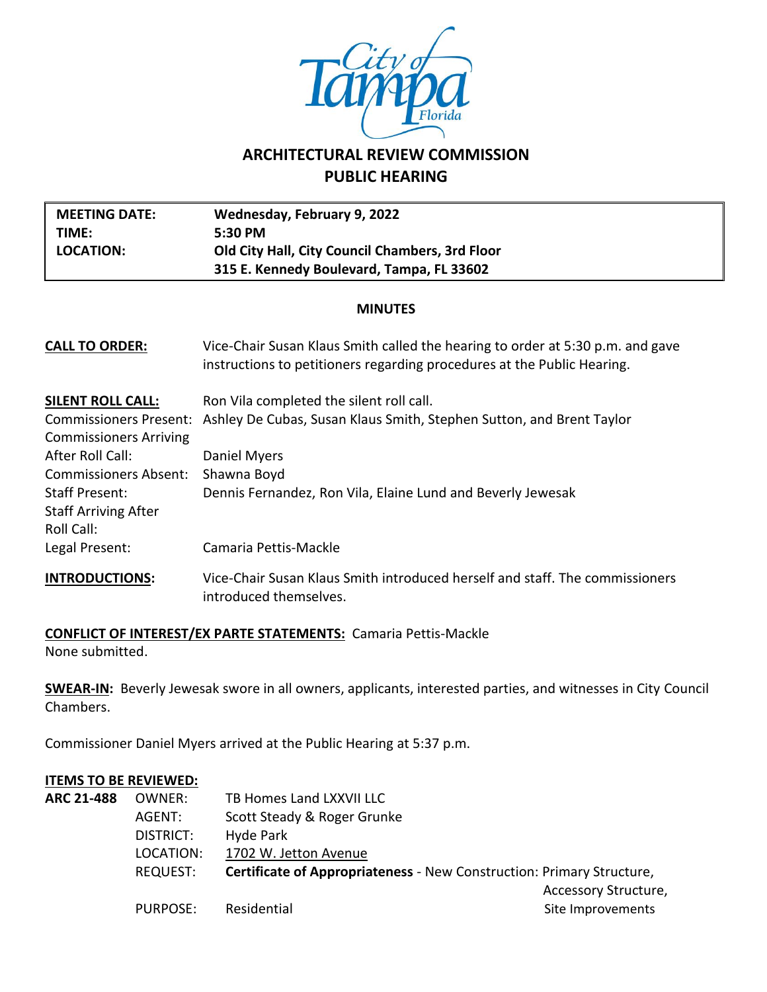

# **ARCHITECTURAL REVIEW COMMISSION PUBLIC HEARING**

| <b>MEETING DATE:</b><br>TIME:<br><b>LOCATION:</b>                  | Wednesday, February 9, 2022<br>5:30 PM<br>Old City Hall, City Council Chambers, 3rd Floor<br>315 E. Kennedy Boulevard, Tampa, FL 33602                    |  |  |  |
|--------------------------------------------------------------------|-----------------------------------------------------------------------------------------------------------------------------------------------------------|--|--|--|
| <b>MINUTES</b>                                                     |                                                                                                                                                           |  |  |  |
| <b>CALL TO ORDER:</b>                                              | Vice-Chair Susan Klaus Smith called the hearing to order at 5:30 p.m. and gave<br>instructions to petitioners regarding procedures at the Public Hearing. |  |  |  |
| <b>SILENT ROLL CALL:</b>                                           | Ron Vila completed the silent roll call.                                                                                                                  |  |  |  |
| <b>Commissioners Present:</b><br><b>Commissioners Arriving</b>     | Ashley De Cubas, Susan Klaus Smith, Stephen Sutton, and Brent Taylor                                                                                      |  |  |  |
| After Roll Call:                                                   | Daniel Myers                                                                                                                                              |  |  |  |
| <b>Commissioners Absent:</b>                                       | Shawna Boyd                                                                                                                                               |  |  |  |
| <b>Staff Present:</b><br><b>Staff Arriving After</b><br>Roll Call: | Dennis Fernandez, Ron Vila, Elaine Lund and Beverly Jewesak                                                                                               |  |  |  |
| Legal Present:                                                     | Camaria Pettis-Mackle                                                                                                                                     |  |  |  |
| <b>INTRODUCTIONS:</b>                                              | Vice-Chair Susan Klaus Smith introduced herself and staff. The commissioners<br>introduced themselves.                                                    |  |  |  |

#### **CONFLICT OF INTEREST/EX PARTE STATEMENTS:** Camaria Pettis-Mackle

None submitted.

**SWEAR-IN:** Beverly Jewesak swore in all owners, applicants, interested parties, and witnesses in City Council Chambers.

Commissioner Daniel Myers arrived at the Public Hearing at 5:37 p.m.

#### **ITEMS TO BE REVIEWED:**

| <b>ARC 21-488</b> | OWNER:    | TB Homes Land LXXVII LLC                                                     |                      |
|-------------------|-----------|------------------------------------------------------------------------------|----------------------|
|                   | AGENT:    | Scott Steady & Roger Grunke                                                  |                      |
|                   | DISTRICT: | Hyde Park                                                                    |                      |
|                   | LOCATION: | 1702 W. Jetton Avenue                                                        |                      |
|                   | REQUEST:  | <b>Certificate of Appropriateness - New Construction: Primary Structure,</b> |                      |
|                   |           |                                                                              | Accessory Structure, |
|                   | PURPOSE:  | Residential                                                                  | Site Improvements    |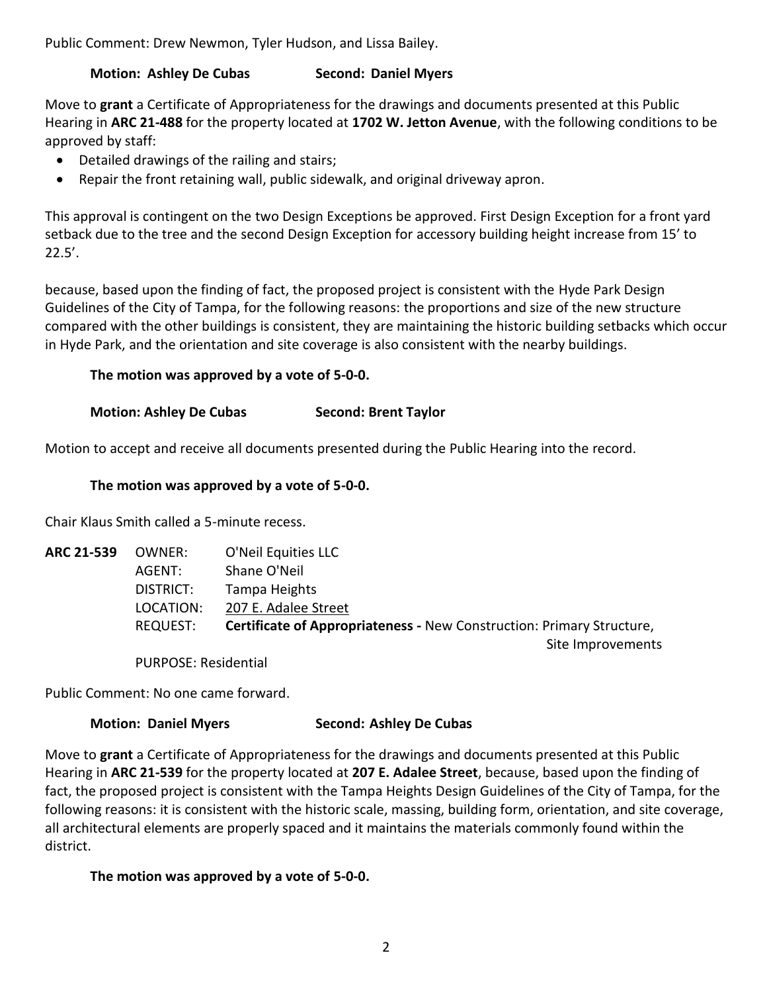Public Comment: Drew Newmon, Tyler Hudson, and Lissa Bailey.

# **Motion: Ashley De Cubas Second: Daniel Myers**

Move to **grant** a Certificate of Appropriateness for the drawings and documents presented at this Public Hearing in **ARC 21-488** for the property located at **1702 W. Jetton Avenue**, with the following conditions to be approved by staff:

- Detailed drawings of the railing and stairs;
- Repair the front retaining wall, public sidewalk, and original driveway apron.

This approval is contingent on the two Design Exceptions be approved. First Design Exception for a front yard setback due to the tree and the second Design Exception for accessory building height increase from 15' to 22.5'.

because, based upon the finding of fact, the proposed project is consistent with the Hyde Park Design Guidelines of the City of Tampa, for the following reasons: the proportions and size of the new structure compared with the other buildings is consistent, they are maintaining the historic building setbacks which occur in Hyde Park, and the orientation and site coverage is also consistent with the nearby buildings.

# **The motion was approved by a vote of 5-0-0.**

# **Motion: Ashley De Cubas Second: Brent Taylor**

Motion to accept and receive all documents presented during the Public Hearing into the record.

#### **The motion was approved by a vote of 5-0-0.**

Chair Klaus Smith called a 5-minute recess.

| <b>ARC 21-539</b> | OWNER:                      | O'Neil Equities LLC                                                          |
|-------------------|-----------------------------|------------------------------------------------------------------------------|
|                   | AGENT:                      | Shane O'Neil                                                                 |
|                   | DISTRICT:                   | Tampa Heights                                                                |
|                   | LOCATION:                   | 207 E. Adalee Street                                                         |
|                   | REQUEST:                    | <b>Certificate of Appropriateness - New Construction: Primary Structure,</b> |
|                   |                             | Site Improvements                                                            |
|                   | <b>PURPOSE: Residential</b> |                                                                              |

Public Comment: No one came forward.

# **Motion: Daniel Myers Second: Ashley De Cubas**

Move to **grant** a Certificate of Appropriateness for the drawings and documents presented at this Public Hearing in **ARC 21-539** for the property located at **207 E. Adalee Street**, because, based upon the finding of fact, the proposed project is consistent with the Tampa Heights Design Guidelines of the City of Tampa, for the following reasons: it is consistent with the historic scale, massing, building form, orientation, and site coverage, all architectural elements are properly spaced and it maintains the materials commonly found within the district.

# **The motion was approved by a vote of 5-0-0.**